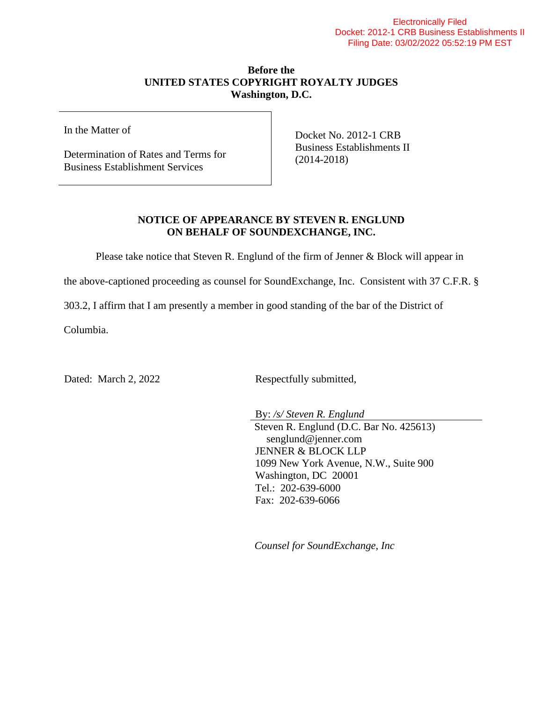## Electronically Filed Docket: 2012-1 CRB Business Establishments II Filing Date: 03/02/2022 05:52:19 PM EST

## **Before the UNITED STATES COPYRIGHT ROYALTY JUDGES Washington, D.C.**

In the Matter of

Determination of Rates and Terms for Business Establishment Services

Docket No. 2012-1 CRB Business Establishments II (2014-2018)

## **NOTICE OF APPEARANCE BY STEVEN R. ENGLUND ON BEHALF OF SOUNDEXCHANGE, INC.**

Please take notice that Steven R. Englund of the firm of Jenner & Block will appear in

the above-captioned proceeding as counsel for SoundExchange, Inc. Consistent with 37 C.F.R. §

303.2, I affirm that I am presently a member in good standing of the bar of the District of

Columbia.

Dated: March 2, 2022 Respectfully submitted,

By: */s/ Steven R. Englund* Steven R. Englund (D.C. Bar No. 425613) senglund@jenner.com JENNER & BLOCK LLP 1099 New York Avenue, N.W., Suite 900 Washington, DC 20001 Tel.: 202-639-6000 Fax: 202-639-6066

*Counsel for SoundExchange, Inc*